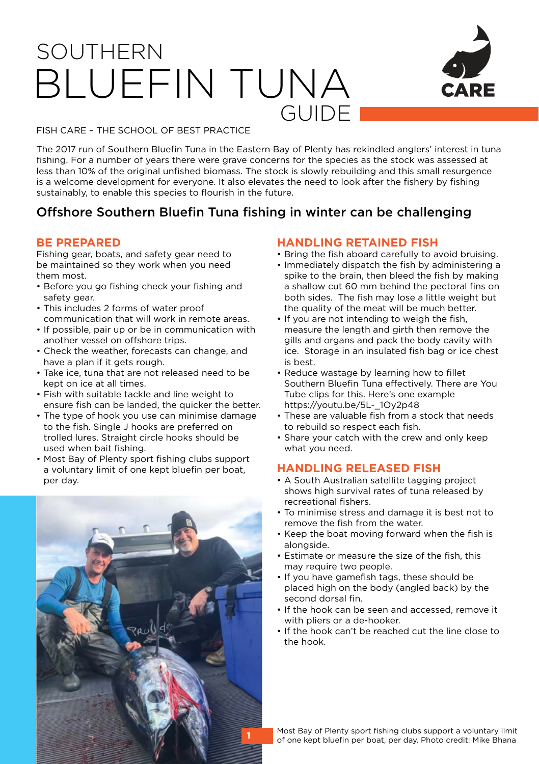# SOUTHERN BLUEFIN TUNA GUIDE



FISH CARE – THE SCHOOL OF BEST PRACTICE

The 2017 run of Southern Bluefin Tuna in the Eastern Bay of Plenty has rekindled anglers' interest in tuna fishing. For a number of years there were grave concerns for the species as the stock was assessed at less than 10% of the original unfished biomass. The stock is slowly rebuilding and this small resurgence is a welcome development for everyone. It also elevates the need to look after the fishery by fishing sustainably, to enable this species to flourish in the future.

# Offshore Southern Bluefin Tuna fishing in winter can be challenging

#### **BE PREPARED**

Fishing gear, boats, and safety gear need to be maintained so they work when you need them most.

- Before you go fishing check your fishing and safety gear.
- This includes 2 forms of water proof communication that will work in remote areas.
- If possible, pair up or be in communication with another vessel on offshore trips.
- Check the weather, forecasts can change, and have a plan if it gets rough.
- Take ice, tuna that are not released need to be kept on ice at all times.
- Fish with suitable tackle and line weight to ensure fish can be landed, the quicker the better.
- The type of hook you use can minimise damage to the fish. Single J hooks are preferred on trolled lures. Straight circle hooks should be used when bait fishing.
- Most Bay of Plenty sport fishing clubs support a voluntary limit of one kept bluefin per boat. per day.



#### **HANDLING RETAINED FISH**

- Bring the fish aboard carefully to avoid bruising.
- Immediately dispatch the fish by administering a spike to the brain, then bleed the fish by making a shallow cut 60 mm behind the pectoral fins on both sides. The fish may lose a little weight but the quality of the meat will be much better.
- If you are not intending to weigh the fish, measure the length and girth then remove the gills and organs and pack the body cavity with ice. Storage in an insulated fish bag or ice chest is best.
- Reduce wastage by learning how to fillet Southern Bluefin Tuna effectively. There are You Tube clips for this. Here's one example https://voutu.be/5L-\_1Oy2p48
- These are valuable fish from a stock that needs to rebuild so respect each fish.
- Share your catch with the crew and only keep what you need.

#### **HANDLING RELEASED FISH**

- A South Australian satellite tagging project shows high survival rates of tuna released by recreational fishers.
- To minimise stress and damage it is best not to remove the fish from the water.
- Keep the boat moving forward when the fish is alongside.
- Estimate or measure the size of the fish, this may require two people.
- If you have gamefish tags, these should be placed high on the body (angled back) by the second dorsal fin.
- If the hook can be seen and accessed, remove it with pliers or a de-hooker.
- If the hook can't be reached cut the line close to the hook.

Most Bay of Plenty sport fishing clubs support a voluntary limit of one kept bluefin per boat, per day. Photo credit: Mike Bhana